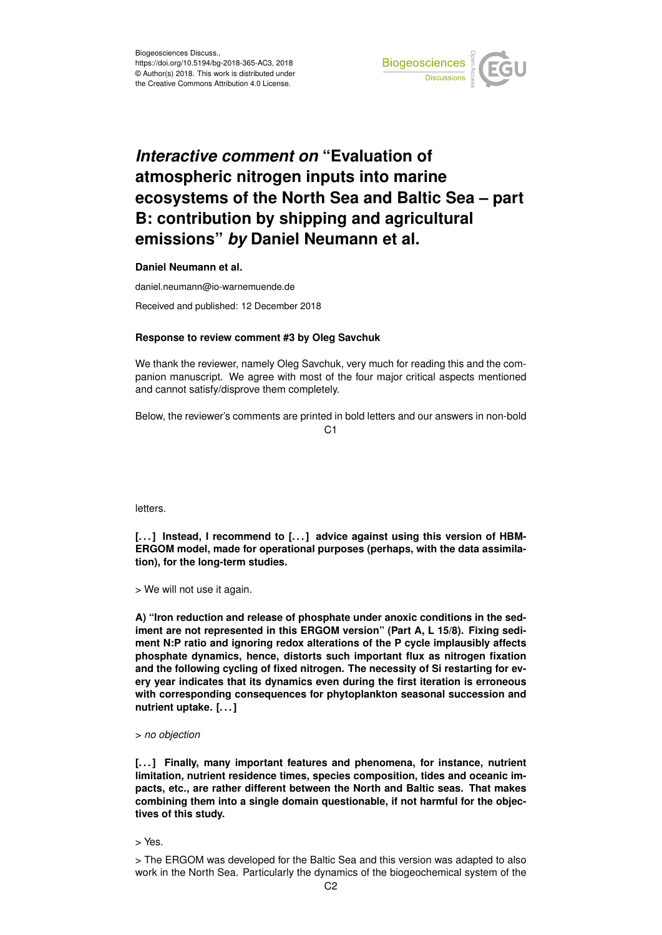

## *Interactive comment on* **"Evaluation of atmospheric nitrogen inputs into marine ecosystems of the North Sea and Baltic Sea – part B: contribution by shipping and agricultural emissions"** *by* **Daniel Neumann et al.**

**Daniel Neumann et al.**

daniel.neumann@io-warnemuende.de

Received and published: 12 December 2018

## **Response to review comment #3 by Oleg Savchuk**

We thank the reviewer, namely Oleg Savchuk, very much for reading this and the companion manuscript. We agree with most of the four major critical aspects mentioned and cannot satisfy/disprove them completely.

Below, the reviewer's comments are printed in bold letters and our answers in non-bold  $C<sub>1</sub>$ 

letters.

[...] Instead, I recommend to [...] advice against using this version of HBM-**ERGOM model, made for operational purposes (perhaps, with the data assimilation), for the long-term studies.**

> We will not use it again.

**A) "Iron reduction and release of phosphate under anoxic conditions in the sediment are not represented in this ERGOM version" (Part A, L 15/8). Fixing sediment N:P ratio and ignoring redox alterations of the P cycle implausibly affects phosphate dynamics, hence, distorts such important flux as nitrogen fixation and the following cycling of fixed nitrogen. The necessity of Si restarting for every year indicates that its dynamics even during the first iteration is erroneous with corresponding consequences for phytoplankton seasonal succession and nutrient uptake. [. . . ]**

## > *no objection*

**[. . . ] Finally, many important features and phenomena, for instance, nutrient limitation, nutrient residence times, species composition, tides and oceanic impacts, etc., are rather different between the North and Baltic seas. That makes combining them into a single domain questionable, if not harmful for the objectives of this study.**

> Yes.

> The ERGOM was developed for the Baltic Sea and this version was adapted to also work in the North Sea. Particularly the dynamics of the biogeochemical system of the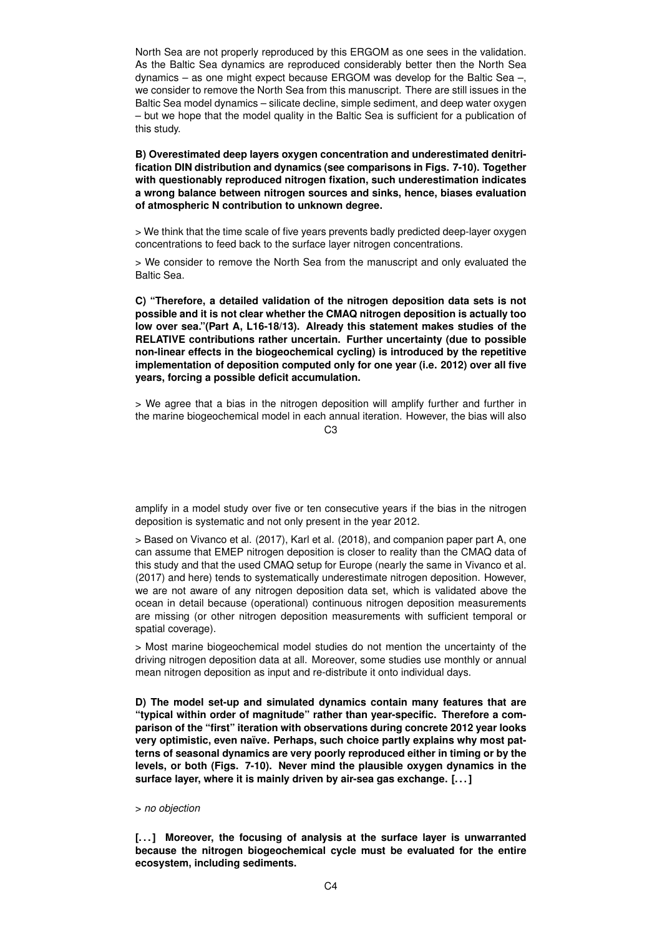North Sea are not properly reproduced by this ERGOM as one sees in the validation. As the Baltic Sea dynamics are reproduced considerably better then the North Sea dynamics – as one might expect because ERGOM was develop for the Baltic Sea –, we consider to remove the North Sea from this manuscript. There are still issues in the Baltic Sea model dynamics – silicate decline, simple sediment, and deep water oxygen – but we hope that the model quality in the Baltic Sea is sufficient for a publication of this study.

**B) Overestimated deep layers oxygen concentration and underestimated denitrification DIN distribution and dynamics (see comparisons in Figs. 7-10). Together with questionably reproduced nitrogen fixation, such underestimation indicates a wrong balance between nitrogen sources and sinks, hence, biases evaluation of atmospheric N contribution to unknown degree.**

> We think that the time scale of five years prevents badly predicted deep-layer oxygen concentrations to feed back to the surface layer nitrogen concentrations.

> We consider to remove the North Sea from the manuscript and only evaluated the Baltic Sea.

**C) "Therefore, a detailed validation of the nitrogen deposition data sets is not possible and it is not clear whether the CMAQ nitrogen deposition is actually too low over sea."(Part A, L16-18/13). Already this statement makes studies of the RELATIVE contributions rather uncertain. Further uncertainty (due to possible non-linear effects in the biogeochemical cycling) is introduced by the repetitive implementation of deposition computed only for one year (i.e. 2012) over all five years, forcing a possible deficit accumulation.**

> We agree that a bias in the nitrogen deposition will amplify further and further in the marine biogeochemical model in each annual iteration. However, the bias will also

 $C<sub>3</sub>$ 

amplify in a model study over five or ten consecutive years if the bias in the nitrogen deposition is systematic and not only present in the year 2012.

> Based on Vivanco et al. (2017), Karl et al. (2018), and companion paper part A, one can assume that EMEP nitrogen deposition is closer to reality than the CMAQ data of this study and that the used CMAQ setup for Europe (nearly the same in Vivanco et al. (2017) and here) tends to systematically underestimate nitrogen deposition. However, we are not aware of any nitrogen deposition data set, which is validated above the ocean in detail because (operational) continuous nitrogen deposition measurements are missing (or other nitrogen deposition measurements with sufficient temporal or spatial coverage).

> Most marine biogeochemical model studies do not mention the uncertainty of the driving nitrogen deposition data at all. Moreover, some studies use monthly or annual mean nitrogen deposition as input and re-distribute it onto individual days.

**D) The model set-up and simulated dynamics contain many features that are "typical within order of magnitude" rather than year-specific. Therefore a comparison of the "first" iteration with observations during concrete 2012 year looks very optimistic, even naïve. Perhaps, such choice partly explains why most patterns of seasonal dynamics are very poorly reproduced either in timing or by the levels, or both (Figs. 7-10). Never mind the plausible oxygen dynamics in the surface layer, where it is mainly driven by air-sea gas exchange. [. . . ]**

## > *no objection*

**[. . . ] Moreover, the focusing of analysis at the surface layer is unwarranted because the nitrogen biogeochemical cycle must be evaluated for the entire ecosystem, including sediments.**